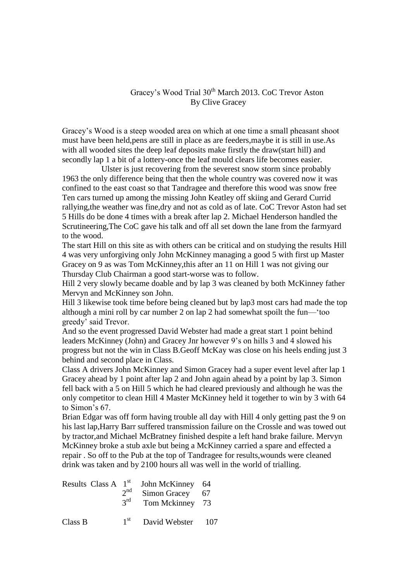## Gracey's Wood Trial 30<sup>th</sup> March 2013. CoC Trevor Aston By Clive Gracey

Gracey's Wood is a steep wooded area on which at one time a small pheasant shoot must have been held,pens are still in place as are feeders,maybe it is still in use.As with all wooded sites the deep leaf deposits make firstly the draw(start hill) and secondly lap 1 a bit of a lottery-once the leaf mould clears life becomes easier.

 Ulster is just recovering from the severest snow storm since probably 1963 the only difference being that then the whole country was covered now it was confined to the east coast so that Tandragee and therefore this wood was snow free Ten cars turned up among the missing John Keatley off skiing and Gerard Currid rallying,the weather was fine,dry and not as cold as of late. CoC Trevor Aston had set 5 Hills do be done 4 times with a break after lap 2. Michael Henderson handled the Scrutineering,The CoC gave his talk and off all set down the lane from the farmyard to the wood.

The start Hill on this site as with others can be critical and on studying the results Hill 4 was very unforgiving only John McKinney managing a good 5 with first up Master Gracey on 9 as was Tom McKinney,this after an 11 on Hill 1 was not giving our Thursday Club Chairman a good start-worse was to follow.

Hill 2 very slowly became doable and by lap 3 was cleaned by both McKinney father Mervyn and McKinney son John.

Hill 3 likewise took time before being cleaned but by lap3 most cars had made the top although a mini roll by car number 2 on lap 2 had somewhat spoilt the fun—'too greedy' said Trevor.

And so the event progressed David Webster had made a great start 1 point behind leaders McKinney (John) and Gracey Jnr however 9's on hills 3 and 4 slowed his progress but not the win in Class B.Geoff McKay was close on his heels ending just 3 behind and second place in Class.

Class A drivers John McKinney and Simon Gracey had a super event level after lap 1 Gracey ahead by 1 point after lap 2 and John again ahead by a point by lap 3. Simon fell back with a 5 on Hill 5 which he had cleared previously and although he was the only competitor to clean Hill 4 Master McKinney held it together to win by 3 with 64 to Simon's 67.

Brian Edgar was off form having trouble all day with Hill 4 only getting past the 9 on his last lap,Harry Barr suffered transmission failure on the Crossle and was towed out by tractor,and Michael McBratney finished despite a left hand brake failure. Mervyn McKinney broke a stub axle but being a McKinney carried a spare and effected a repair . So off to the Pub at the top of Tandragee for results,wounds were cleaned drink was taken and by 2100 hours all was well in the world of trialling.

| Results Class $A$ 1 <sup>st</sup> | $2^{nd}$<br>$3^{\text{rd}}$ | John McKinney<br>Simon Gracey<br>Tom Mckinney | 64<br>67<br>73 |
|-----------------------------------|-----------------------------|-----------------------------------------------|----------------|
| Class B                           | $1^{\rm st}$                | David Webster                                 | 107            |